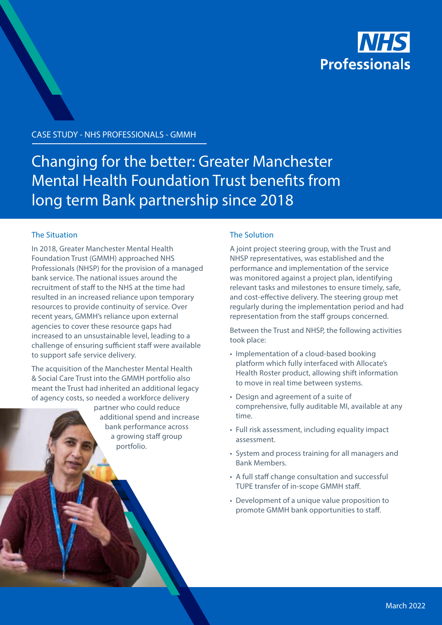

CASE STUDY - NHS PROFESSIONALS - GMMH

# Changing for the better: Greater Manchester Mental Health Foundation Trust benefits from long term Bank partnership since 2018

## The Situation

In 2018, Greater Manchester Mental Health Foundation Trust (GMMH) approached NHS Professionals (NHSP) for the provision of a managed bank service. The national issues around the recruitment of staff to the NHS at the time had resulted in an increased reliance upon temporary resources to provide continuity of service. Over recent years, GMMH's reliance upon external agencies to cover these resource gaps had increased to an unsustainable level, leading to a challenge of ensuring sufficient staff were available to support safe service delivery.

The acquisition of the Manchester Mental Health & Social Care Trust into the GMMH portfolio also meant the Trust had inherited an additional legacy of agency costs, so needed a workforce delivery

> partner who could reduce additional spend and increase bank performance across a growing staff group portfolio.

## The Solution

A joint project steering group, with the Trust and NHSP representatives, was established and the performance and implementation of the service was monitored against a project plan, identifying relevant tasks and milestones to ensure timely, safe, and cost-effective delivery. The steering group met regularly during the implementation period and had representation from the staff groups concerned.

Between the Trust and NHSP, the following activities took place:

- Implementation of a cloud-based booking platform which fully interfaced with Allocate's Health Roster product, allowing shift information to move in real time between systems.
- Design and agreement of a suite of comprehensive, fully auditable MI, available at any time.
- Full risk assessment, including equality impact assessment.
- System and process training for all managers and Bank Members.
- A full staff change consultation and successful TUPE transfer of in-scope GMMH staff.
- Development of a unique value proposition to promote GMMH bank opportunities to staff.